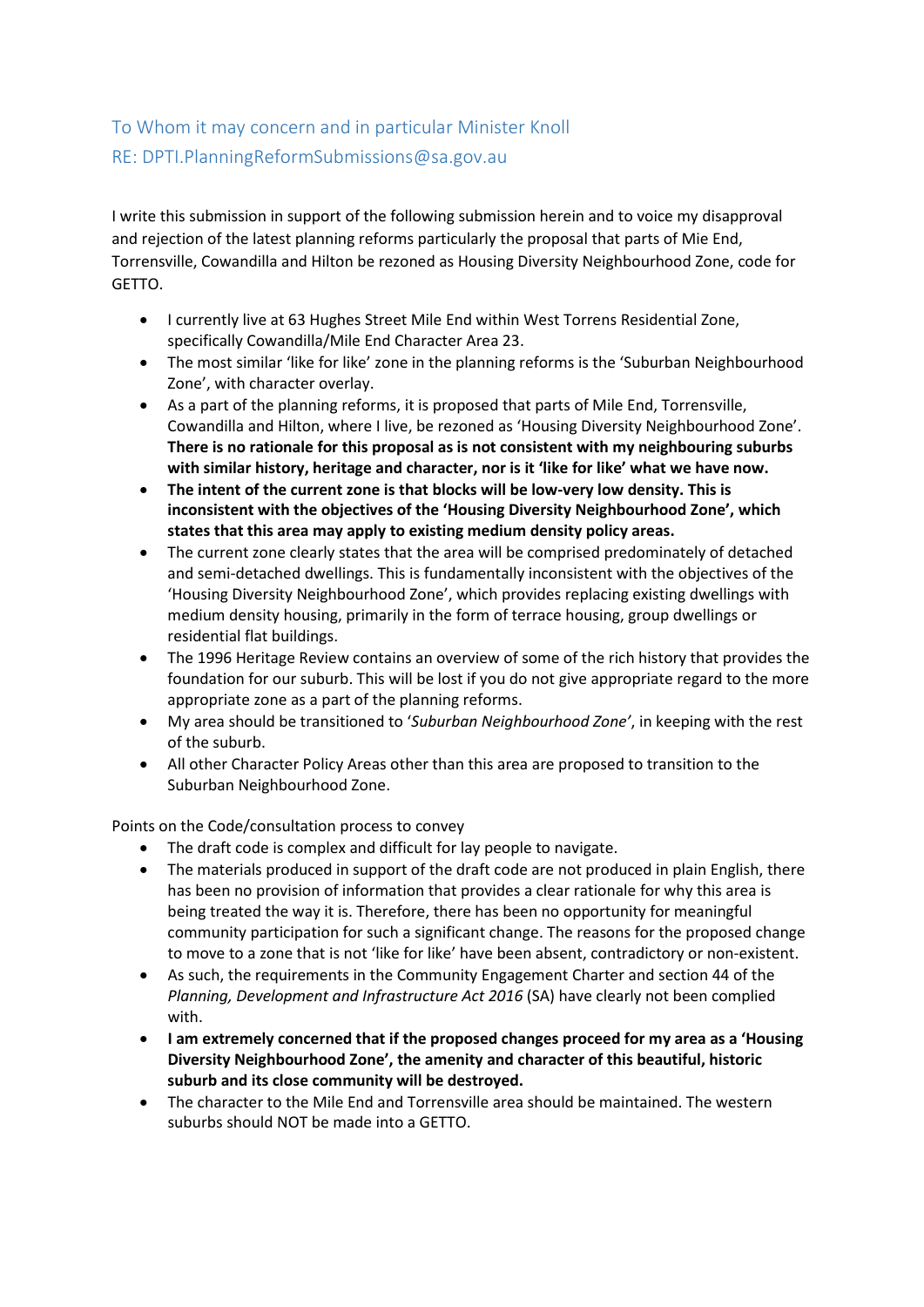## To Whom it may concern and in particular Minister Knoll RE: DPTI.PlanningReformSubmissions@sa.gov.au

I write this submission in support of the following submission herein and to voice my disapproval and rejection of the latest planning reforms particularly the proposal that parts of Mie End, Torrensville, Cowandilla and Hilton be rezoned as Housing Diversity Neighbourhood Zone, code for GETTO.

- I currently live at 63 Hughes Street Mile End within West Torrens Residential Zone, specifically Cowandilla/Mile End Character Area 23.
- The most similar 'like for like' zone in the planning reforms is the 'Suburban Neighbourhood Zone', with character overlay.
- As a part of the planning reforms, it is proposed that parts of Mile End, Torrensville, Cowandilla and Hilton, where I live, be rezoned as 'Housing Diversity Neighbourhood Zone'. **There is no rationale for this proposal as is not consistent with my neighbouring suburbs with similar history, heritage and character, nor is it 'like for like' what we have now.**
- **The intent of the current zone is that blocks will be low-very low density. This is inconsistent with the objectives of the 'Housing Diversity Neighbourhood Zone', which states that this area may apply to existing medium density policy areas.**
- The current zone clearly states that the area will be comprised predominately of detached and semi-detached dwellings. This is fundamentally inconsistent with the objectives of the 'Housing Diversity Neighbourhood Zone', which provides replacing existing dwellings with medium density housing, primarily in the form of terrace housing, group dwellings or residential flat buildings.
- The 1996 Heritage Review contains an overview of some of the rich history that provides the foundation for our suburb. This will be lost if you do not give appropriate regard to the more appropriate zone as a part of the planning reforms.
- My area should be transitioned to '*Suburban Neighbourhood Zone'*, in keeping with the rest of the suburb.
- All other Character Policy Areas other than this area are proposed to transition to the Suburban Neighbourhood Zone.

Points on the Code/consultation process to convey

- The draft code is complex and difficult for lay people to navigate.
- The materials produced in support of the draft code are not produced in plain English, there has been no provision of information that provides a clear rationale for why this area is being treated the way it is. Therefore, there has been no opportunity for meaningful community participation for such a significant change. The reasons for the proposed change to move to a zone that is not 'like for like' have been absent, contradictory or non-existent.
- As such, the requirements in the Community Engagement Charter and section 44 of the *Planning, Development and Infrastructure Act 2016 (SA) have clearly not been complied* with.
- **I am extremely concerned that if the proposed changes proceed for my area as a 'Housing Diversity Neighbourhood Zone', the amenity and character of this beautiful, historic suburb and its close community will be destroyed.**
- The character to the Mile End and Torrensville area should be maintained. The western suburbs should NOT be made into a GETTO.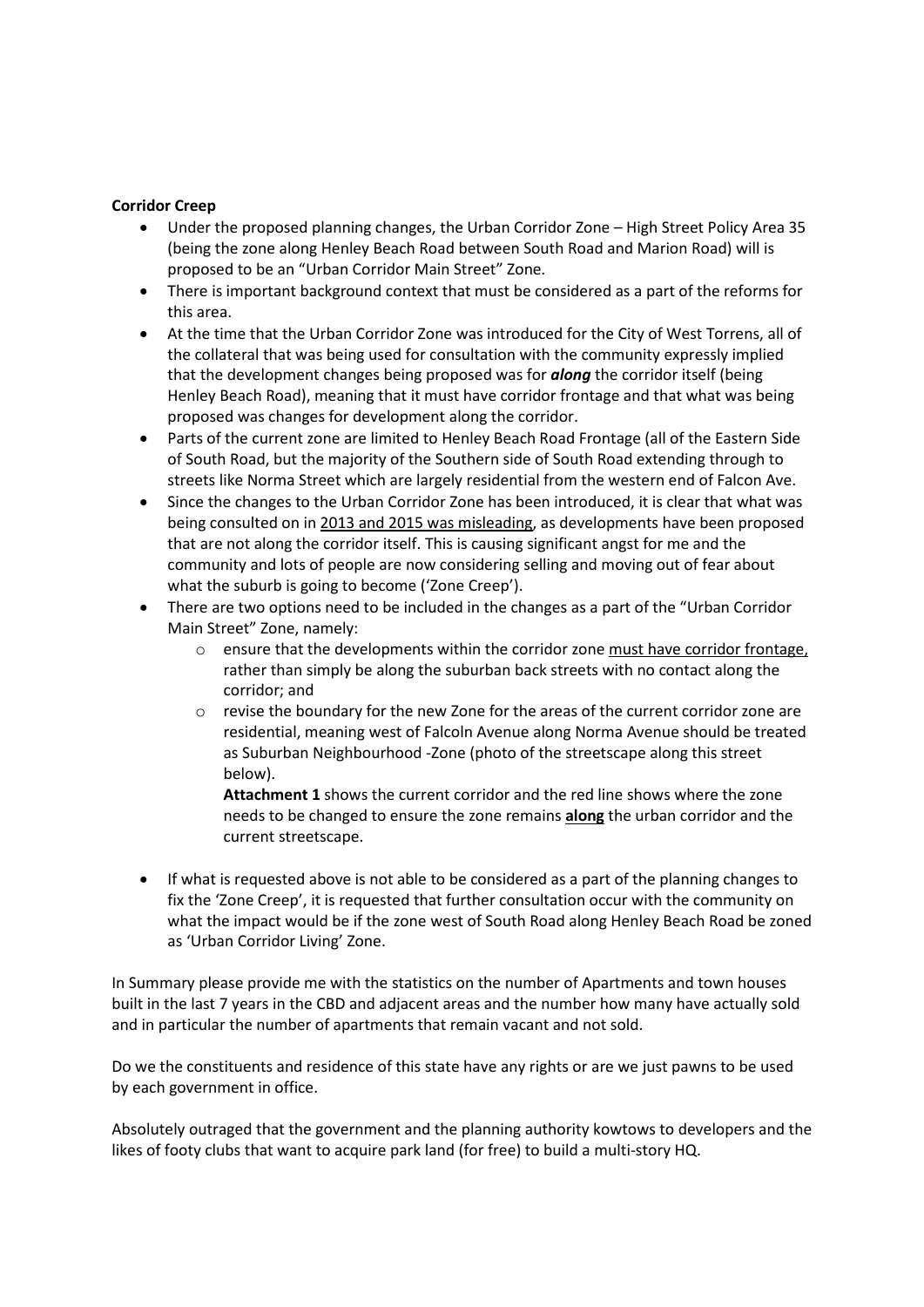## **Corridor Creep**

- Under the proposed planning changes, the Urban Corridor Zone High Street Policy Area 35 (being the zone along Henley Beach Road between South Road and Marion Road) will is proposed to be an "Urban Corridor Main Street" Zone.
- There is important background context that must be considered as a part of the reforms for this area.
- At the time that the Urban Corridor Zone was introduced for the City of West Torrens, all of the collateral that was being used for consultation with the community expressly implied that the development changes being proposed was for *along* the corridor itself (being Henley Beach Road), meaning that it must have corridor frontage and that what was being proposed was changes for development along the corridor.
- Parts of the current zone are limited to Henley Beach Road Frontage (all of the Eastern Side of South Road, but the majority of the Southern side of South Road extending through to streets like Norma Street which are largely residential from the western end of Falcon Ave.
- Since the changes to the Urban Corridor Zone has been introduced, it is clear that what was being consulted on in 2013 and 2015 was misleading, as developments have been proposed that are not along the corridor itself. This is causing significant angst for me and the community and lots of people are now considering selling and moving out of fear about what the suburb is going to become ('Zone Creep').
- There are two options need to be included in the changes as a part of the "Urban Corridor Main Street" Zone, namely:
	- $\circ$  ensure that the developments within the corridor zone must have corridor frontage. rather than simply be along the suburban back streets with no contact along the corridor; and
	- o revise the boundary for the new Zone for the areas of the current corridor zone are residential, meaning west of Falcoln Avenue along Norma Avenue should be treated as Suburban Neighbourhood -Zone (photo of the streetscape along this street below).

**Attachment 1** shows the current corridor and the red line shows where the zone needs to be changed to ensure the zone remains **along** the urban corridor and the current streetscape.

• If what is requested above is not able to be considered as a part of the planning changes to fix the 'Zone Creep', it is requested that further consultation occur with the community on what the impact would be if the zone west of South Road along Henley Beach Road be zoned as 'Urban Corridor Living' Zone.

In Summary please provide me with the statistics on the number of Apartments and town houses built in the last 7 years in the CBD and adjacent areas and the number how many have actually sold and in particular the number of apartments that remain vacant and not sold.

Do we the constituents and residence of this state have any rights or are we just pawns to be used by each government in office.

Absolutely outraged that the government and the planning authority kowtows to developers and the likes of footy clubs that want to acquire park land (for free) to build a multi-story HQ.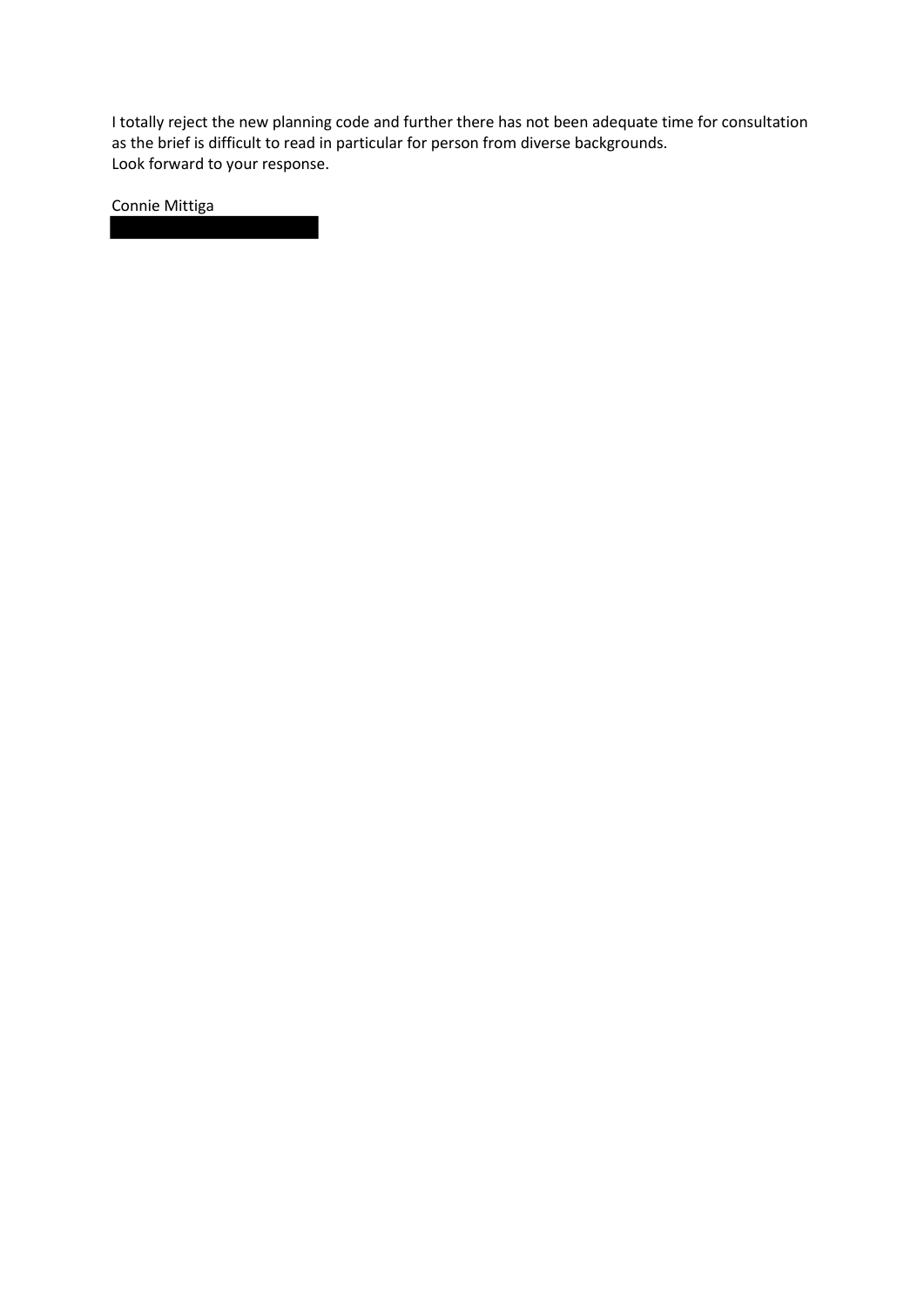I totally reject the new planning code and further there has not been adequate time for consultation as the brief is difficult to read in particular for person from diverse backgrounds. Look forward to your response.

Connie Mittiga